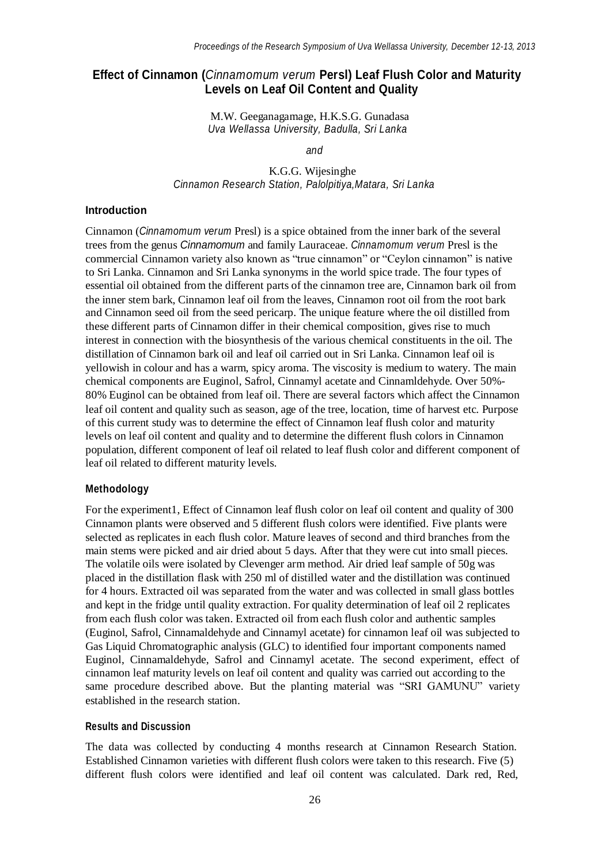# **Effect of Cinnamon (***Cinnamomum verum* **Persl) Leaf Flush Color and Maturity Levels on Leaf Oil Content and Quality**

M.W. Geeganagamage, H.K.S.G. Gunadasa *Uva Wellassa University, Badulla, Sri Lanka*

*and*

K.G.G. Wijesinghe *Cinnamon Research Station, Palolpitiya,Matara, Sri Lanka*

#### **Introduction**

Cinnamon (*Cinnamomum verum* Presl) is a spice obtained from the inner bark of the several trees from the genus *Cinnamomum* and family Lauraceae. *Cinnamomum verum* Presl is the commercial Cinnamon variety also known as "true cinnamon" or "Ceylon cinnamon" is native to Sri Lanka. Cinnamon and Sri Lanka synonyms in the world spice trade. The four types of essential oil obtained from the different parts of the cinnamon tree are, Cinnamon bark oil from the inner stem bark, Cinnamon leaf oil from the leaves, Cinnamon root oil from the root bark and Cinnamon seed oil from the seed pericarp. The unique feature where the oil distilled from these different parts of Cinnamon differ in their chemical composition, gives rise to much interest in connection with the biosynthesis of the various chemical constituents in the oil. The distillation of Cinnamon bark oil and leaf oil carried out in Sri Lanka. Cinnamon leaf oil is yellowish in colour and has a warm, spicy aroma. The viscosity is medium to watery. The main chemical components are Euginol, Safrol, Cinnamyl acetate and Cinnamldehyde. Over 50%- 80% Euginol can be obtained from leaf oil. There are several factors which affect the Cinnamon leaf oil content and quality such as season, age of the tree, location, time of harvest etc. Purpose of this current study was to determine the effect of Cinnamon leaf flush color and maturity levels on leaf oil content and quality and to determine the different flush colors in Cinnamon population, different component of leaf oil related to leaf flush color and different component of leaf oil related to different maturity levels.

#### **Methodology**

For the experiment1, Effect of Cinnamon leaf flush color on leaf oil content and quality of 300 Cinnamon plants were observed and 5 different flush colors were identified. Five plants were selected as replicates in each flush color. Mature leaves of second and third branches from the main stems were picked and air dried about 5 days. After that they were cut into small pieces. The volatile oils were isolated by Clevenger arm method. Air dried leaf sample of 50g was placed in the distillation flask with 250 ml of distilled water and the distillation was continued for 4 hours. Extracted oil was separated from the water and was collected in small glass bottles and kept in the fridge until quality extraction. For quality determination of leaf oil 2 replicates from each flush color was taken. Extracted oil from each flush color and authentic samples (Euginol, Safrol, Cinnamaldehyde and Cinnamyl acetate) for cinnamon leaf oil was subjected to Gas Liquid Chromatographic analysis (GLC) to identified four important components named Euginol, Cinnamaldehyde, Safrol and Cinnamyl acetate. The second experiment, effect of cinnamon leaf maturity levels on leaf oil content and quality was carried out according to the same procedure described above. But the planting material was "SRI GAMUNU" variety established in the research station.

### **Results and Discussion**

The data was collected by conducting 4 months research at Cinnamon Research Station. Established Cinnamon varieties with different flush colors were taken to this research. Five (5) different flush colors were identified and leaf oil content was calculated. Dark red, Red,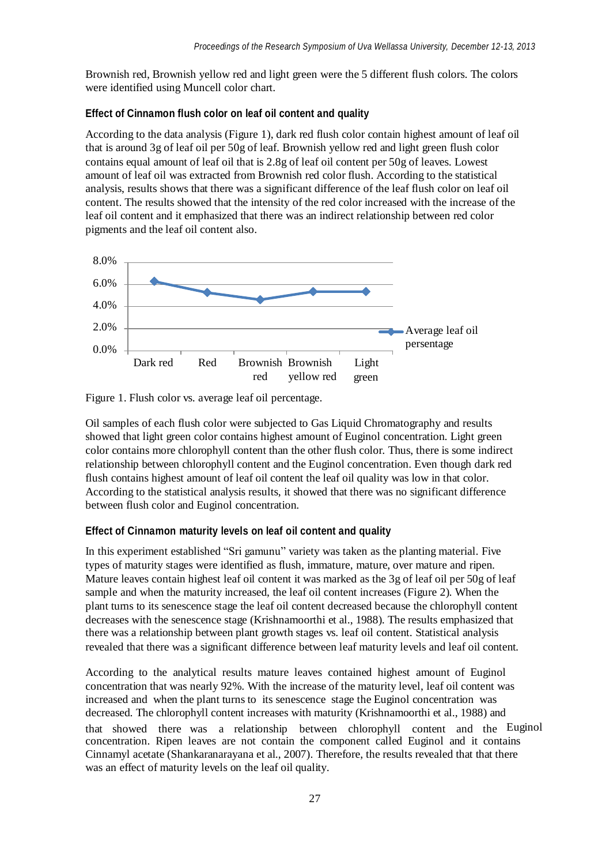Brownish red, Brownish yellow red and light green were the 5 different flush colors. The colors were identified using Muncell color chart.

### **Effect of Cinnamon flush color on leaf oil content and quality**

According to the data analysis (Figure 1), dark red flush color contain highest amount of leaf oil that is around 3g of leaf oil per 50g of leaf. Brownish yellow red and light green flush color contains equal amount of leaf oil that is 2.8g of leaf oil content per 50g of leaves. Lowest amount of leaf oil was extracted from Brownish red color flush. According to the statistical analysis, results shows that there was a significant difference of the leaf flush color on leaf oil content. The results showed that the intensity of the red color increased with the increase of the leaf oil content and it emphasized that there was an indirect relationship between red color pigments and the leaf oil content also.



Figure 1. Flush color vs. average leaf oil percentage.

Oil samples of each flush color were subjected to Gas Liquid Chromatography and results showed that light green color contains highest amount of Euginol concentration. Light green color contains more chlorophyll content than the other flush color. Thus, there is some indirect relationship between chlorophyll content and the Euginol concentration. Even though dark red flush contains highest amount of leaf oil content the leaf oil quality was low in that color. According to the statistical analysis results, it showed that there was no significant difference between flush color and Euginol concentration.

# **Effect of Cinnamon maturity levels on leaf oil content and quality**

In this experiment established "Sri gamunu" variety was taken as the planting material. Five types of maturity stages were identified as flush, immature, mature, over mature and ripen. Mature leaves contain highest leaf oil content it was marked as the 3g of leaf oil per 50g of leaf sample and when the maturity increased, the leaf oil content increases (Figure 2). When the plant turns to its senescence stage the leaf oil content decreased because the chlorophyll content decreases with the senescence stage (Krishnamoorthi et al., 1988). The results emphasized that there was a relationship between plant growth stages vs. leaf oil content. Statistical analysis revealed that there was a significant difference between leaf maturity levels and leaf oil content.

that showed there was a relationship between chlorophyll content and the Euginol According to the analytical results mature leaves contained highest amount of Euginol concentration that was nearly 92%. With the increase of the maturity level, leaf oil content was increased and when the plant turns to its senescence stage the Euginol concentration was decreased. The chlorophyll content increases with maturity (Krishnamoorthi et al., 1988) and concentration. Ripen leaves are not contain the component called Euginol and it contains Cinnamyl acetate (Shankaranarayana et al., 2007). Therefore, the results revealed that that there was an effect of maturity levels on the leaf oil quality.